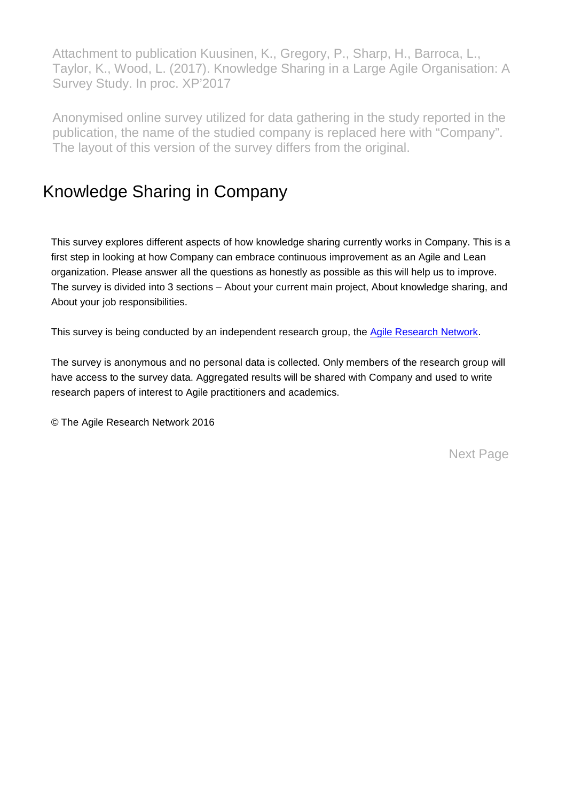Attachment to publication Kuusinen, K., Gregory, P., Sharp, H., Barroca, L., Taylor, K., Wood, L. (2017). Knowledge Sharing in a Large Agile Organisation: A Survey Study. In proc. XP'2017

Anonymised online survey utilized for data gathering in the study reported in the publication, the name of the studied company is replaced here with "Company". The layout of this version of the survey differs from the original.

#### Knowledge Sharing in Company

This survey explores different aspects of how knowledge sharing currently works in Company. This is a first step in looking at how Company can embrace continuous improvement as an Agile and Lean organization. Please answer all the questions as honestly as possible as this will help us to improve. The survey is divided into 3 sections – About your current main project, About knowledge sharing, and About your job responsibilities.

This survey is being conducted by an independent research group, the Agile [Research](http://www.agileresearchnetwork.org/) Network.

The survey is anonymous and no personal data is collected. Only members of the research group will have access to the survey data. Aggregated results will be shared with Company and used to write research papers of interest to Agile practitioners and academics.

© The Agile Research Network 2016

Next Page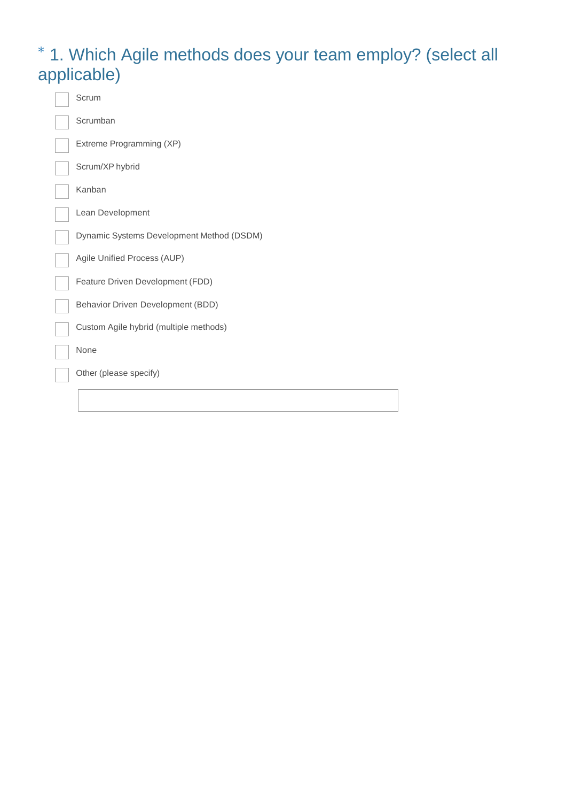### \* 1. Which Agile methods does your team employ? (select all applicable)

| Scrum                                     |
|-------------------------------------------|
| Scrumban                                  |
| Extreme Programming (XP)                  |
| Scrum/XP hybrid                           |
| Kanban                                    |
| Lean Development                          |
| Dynamic Systems Development Method (DSDM) |
| Agile Unified Process (AUP)               |
| Feature Driven Development (FDD)          |
| Behavior Driven Development (BDD)         |
| Custom Agile hybrid (multiple methods)    |
| None                                      |
| Other (please specify)                    |
|                                           |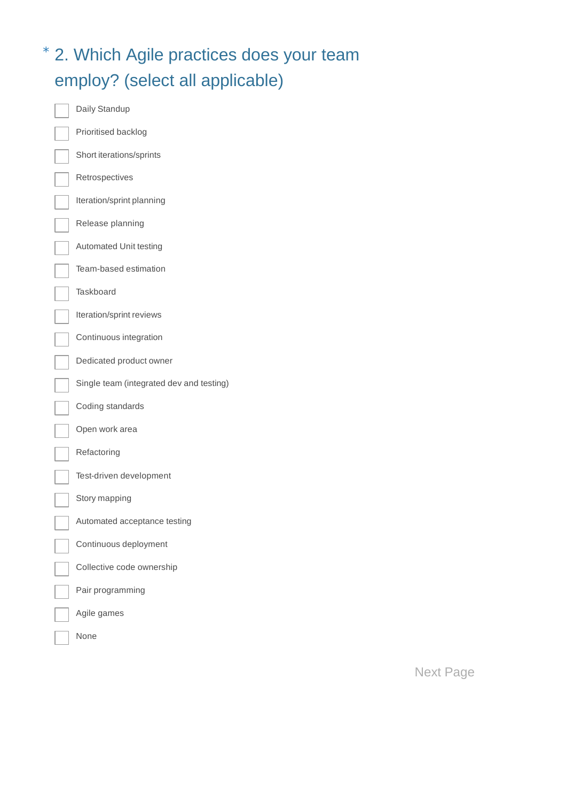## \* 2. Which Agile practices does your team employ? (select all applicable)

| Daily Standup                            |
|------------------------------------------|
| Prioritised backlog                      |
| Short iterations/sprints                 |
| Retrospectives                           |
| Iteration/sprint planning                |
| Release planning                         |
| Automated Unit testing                   |
| Team-based estimation                    |
| Taskboard                                |
| Iteration/sprint reviews                 |
| Continuous integration                   |
| Dedicated product owner                  |
| Single team (integrated dev and testing) |
| Coding standards                         |
| Open work area                           |
| Refactoring                              |
| Test-driven development                  |
| Story mapping                            |
| Automated acceptance testing             |
| Continuous deployment                    |
| Collective code ownership                |
| Pair programming                         |
| Agile games                              |
| None                                     |

Next Page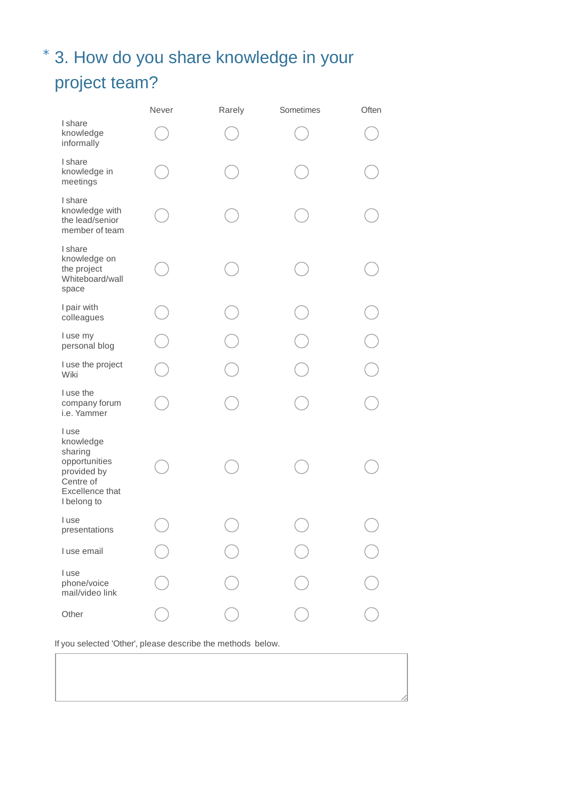## \* 3. How do you share knowledge in your project team?

|                                                                                                              | Never | Rarely | Sometimes | Often     |
|--------------------------------------------------------------------------------------------------------------|-------|--------|-----------|-----------|
| I share<br>knowledge<br>informally                                                                           |       |        |           |           |
| I share<br>knowledge in<br>meetings                                                                          |       |        |           |           |
| I share<br>knowledge with<br>the lead/senior<br>member of team                                               |       |        |           |           |
| I share<br>knowledge on<br>the project<br>Whiteboard/wall<br>space                                           |       |        |           |           |
| I pair with<br>colleagues                                                                                    |       |        |           |           |
| I use my<br>personal blog                                                                                    |       |        |           | $\bigcap$ |
| I use the project<br>Wiki                                                                                    |       |        |           | h.        |
| I use the<br>company forum<br>i.e. Yammer                                                                    |       |        |           |           |
| I use<br>knowledge<br>sharing<br>opportunities<br>provided by<br>Centre of<br>Excellence that<br>I belong to |       |        |           |           |
| I use<br>presentations                                                                                       |       |        |           |           |
| I use email                                                                                                  |       |        |           |           |
| I use<br>phone/voice<br>mail/video link                                                                      |       |        |           |           |
| Other                                                                                                        |       |        |           |           |

If you selected 'Other', please describe the methods below.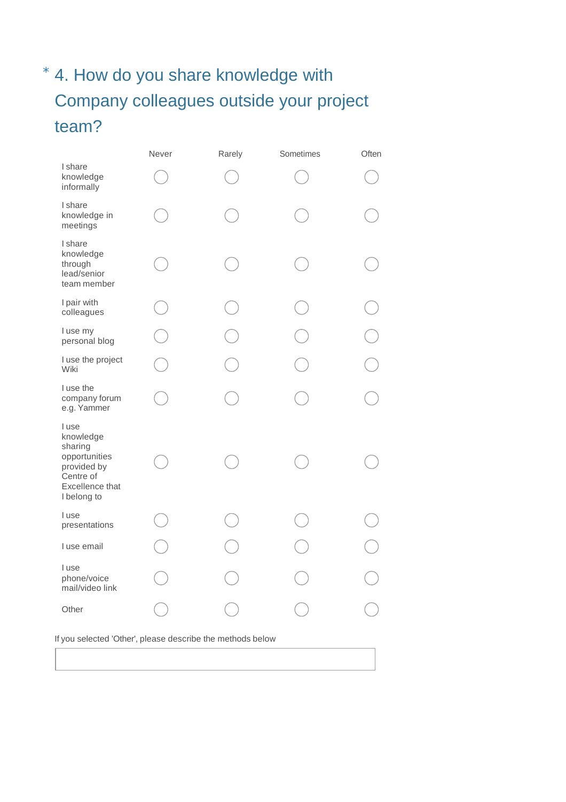## \* 4. How do you share knowledge with Company colleagues outside your project team?

|                                                                                                              | Never | Rarely | Sometimes | Often     |
|--------------------------------------------------------------------------------------------------------------|-------|--------|-----------|-----------|
| I share<br>knowledge<br>informally                                                                           |       |        |           |           |
| I share<br>knowledge in<br>meetings                                                                          |       |        |           |           |
| I share<br>knowledge<br>through<br>lead/senior<br>team member                                                |       |        |           |           |
| I pair with<br>colleagues                                                                                    |       |        |           |           |
| I use my<br>personal blog                                                                                    |       |        |           | $\bigcap$ |
| I use the project<br>Wiki                                                                                    |       |        |           |           |
| I use the<br>company forum<br>e.g. Yammer                                                                    |       |        |           |           |
| I use<br>knowledge<br>sharing<br>opportunities<br>provided by<br>Centre of<br>Excellence that<br>I belong to |       |        |           |           |
| I use<br>presentations                                                                                       |       |        |           |           |
| I use email                                                                                                  |       |        |           |           |
| I use<br>phone/voice<br>mail/video link                                                                      |       |        |           |           |
| Other                                                                                                        |       |        |           |           |

If you selected 'Other', please describe the methods below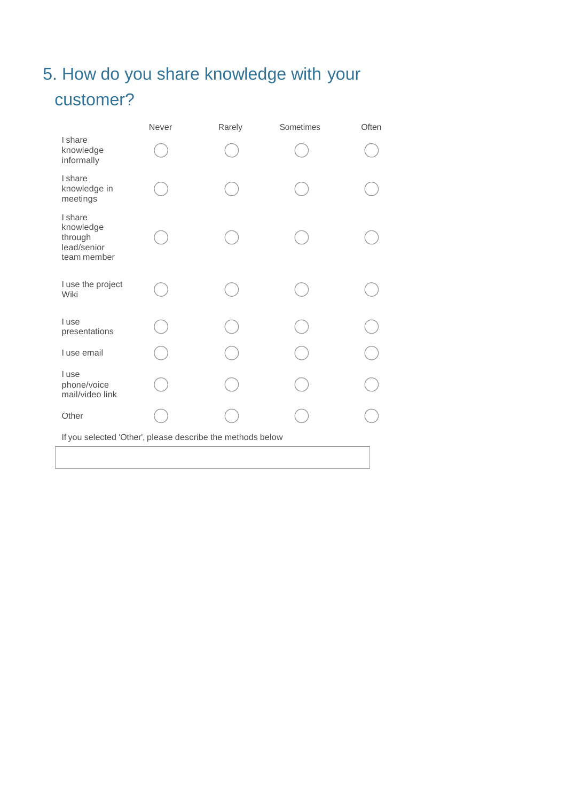## 5. How do you share knowledge with your customer?

|                                                               | Never | Rarely | Sometimes | Often |
|---------------------------------------------------------------|-------|--------|-----------|-------|
| I share<br>knowledge<br>informally                            |       |        |           |       |
| I share<br>knowledge in<br>meetings                           |       |        |           |       |
| I share<br>knowledge<br>through<br>lead/senior<br>team member |       |        |           |       |
| I use the project<br>Wiki                                     |       |        |           |       |
| I use<br>presentations                                        |       |        |           |       |
| I use email                                                   |       |        |           |       |
| I use<br>phone/voice<br>mail/video link                       |       |        |           |       |
| Other                                                         |       |        |           |       |
| If you selected 'Other', please describe the methods below    |       |        |           |       |
|                                                               |       |        |           |       |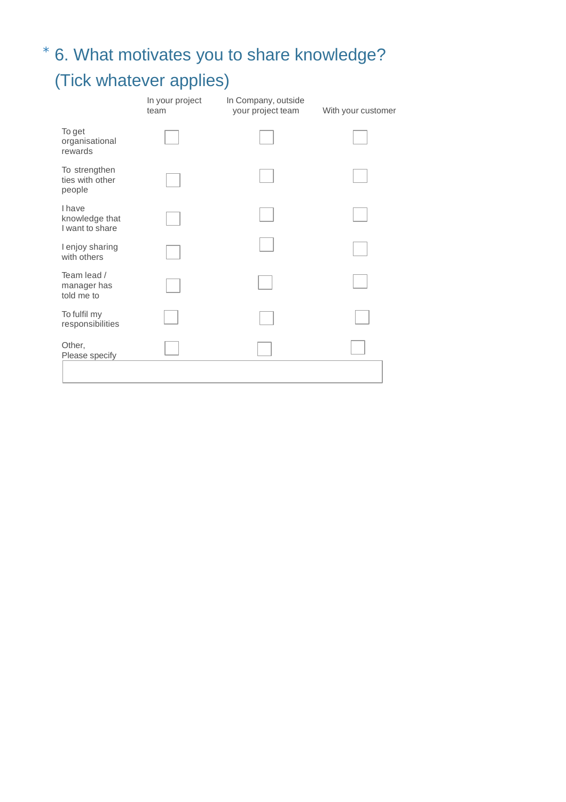# \* 6. What motivates you to share knowledge? (Tick whatever applies)

|                                                    | In your project<br>team | In Company, outside<br>your project team | With your customer |
|----------------------------------------------------|-------------------------|------------------------------------------|--------------------|
| To get<br>organisational<br>rewards                |                         |                                          |                    |
| To strengthen<br>ties with other<br>people         |                         |                                          |                    |
| <b>I</b> have<br>knowledge that<br>I want to share |                         |                                          |                    |
| I enjoy sharing<br>with others                     |                         |                                          |                    |
| Team lead /<br>manager has<br>told me to           |                         |                                          |                    |
| To fulfil my<br>responsibilities                   |                         |                                          |                    |
| Other,<br>Please specify                           |                         |                                          |                    |
|                                                    |                         |                                          |                    |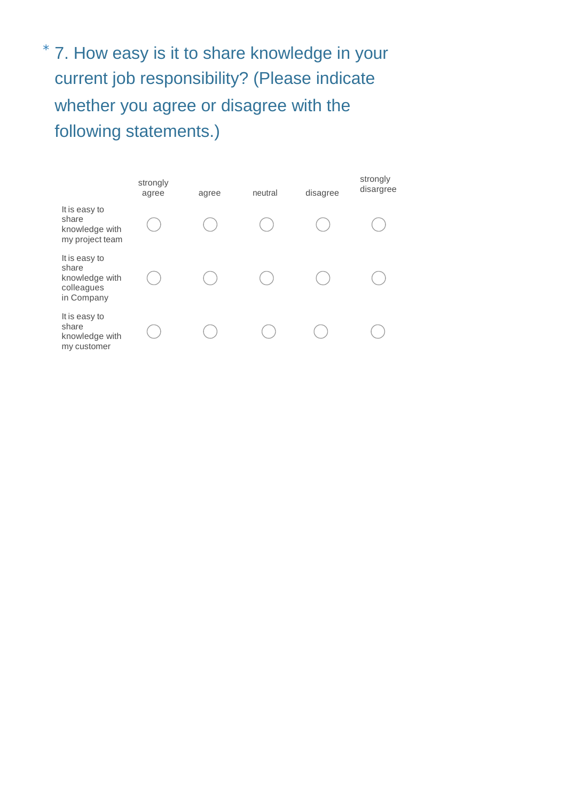\* 7. How easy is it to share knowledge in your current job responsibility? (Please indicate whether you agree or disagree with the following statements.)

|                                                                      | strongly<br>agree | agree | neutral | disagree | strongly<br>disargree |
|----------------------------------------------------------------------|-------------------|-------|---------|----------|-----------------------|
| It is easy to<br>share<br>knowledge with<br>my project team          |                   |       |         |          |                       |
| It is easy to<br>share<br>knowledge with<br>colleagues<br>in Company |                   |       |         |          |                       |
| It is easy to<br>share<br>knowledge with<br>my customer              |                   |       |         |          |                       |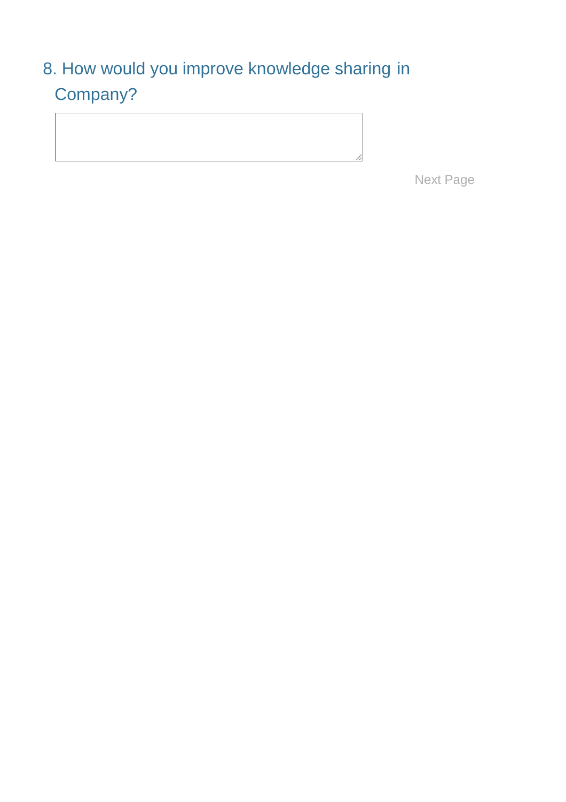## 8. How would you improve knowledge sharing in Company?

Next Page